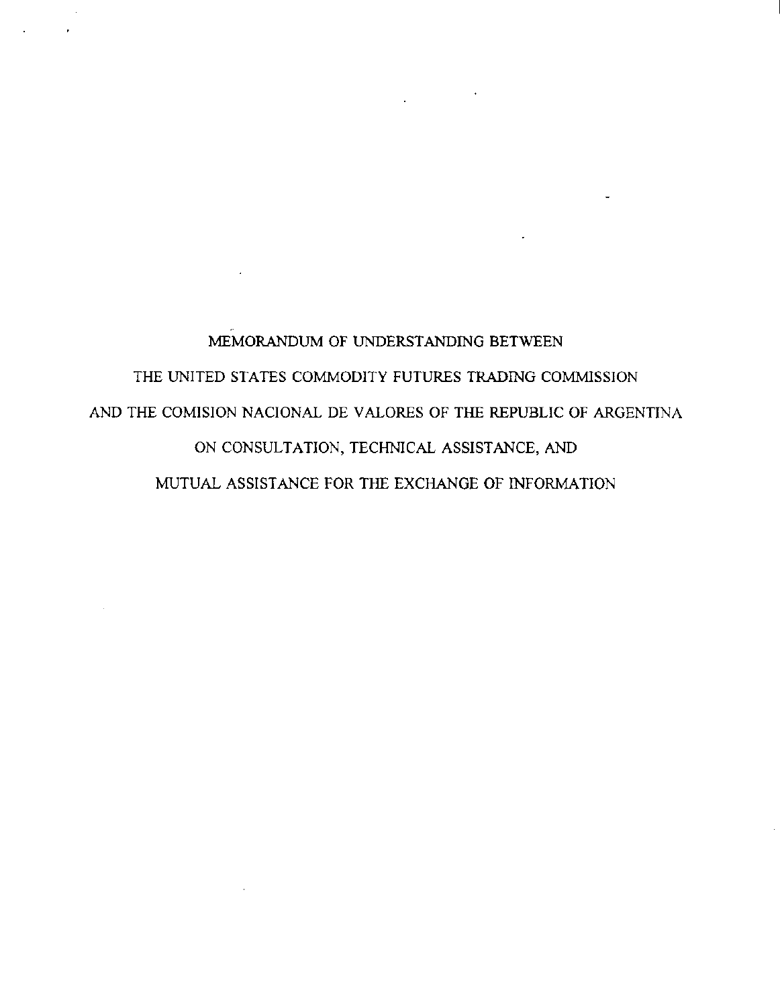MEMORANDUM OF UNDERSTANDING BETWEEN THE UNITED STATES COMMODITY FUTURES TRADING COMMISSION AND THE COMISION NACIONAL DE VALORES OF THE REPUBLIC OF ARGENTINA ON CONSULTATION, TECHNICAL ASSISTANCE, AND MUTUAL ASSISTANCE FOR THE EXCHANGE OF INFORMATION

 $\mathcal{L}^{\text{max}}_{\text{max}}$  ,  $\mathcal{L}^{\text{max}}_{\text{max}}$ 

 $\mathcal{L}$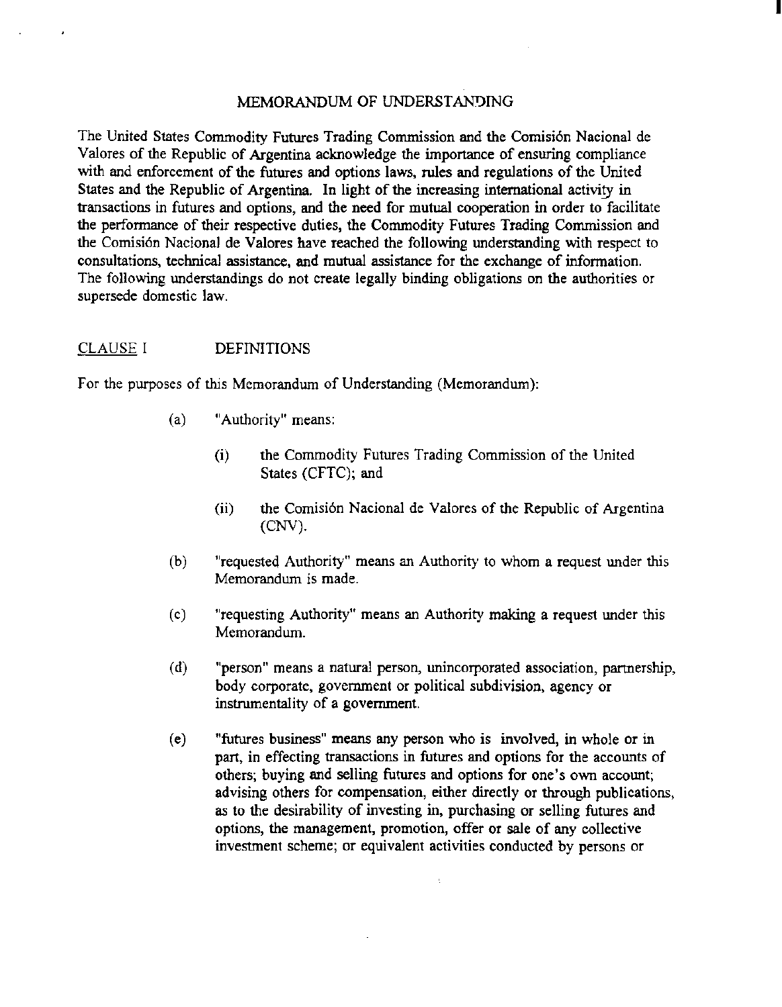#### MEMORANDUM OF UNDERSTAN'JING

I

The United States Commodity Futures Trading Commission and the Comisi6n Nacional de Valores of the Republic of Argentina acknowledge the importance of ensuring compliance with and enforcement of the futures and options laws, rules and regulations of the United States and the Republic of Argentina. In light of the increasing international activity in transactions in futures and options, and the need for mutual cooperation in order to facilitate the performance of their respective duties, the Commodity Futures Trading Commission and the Comisión Nacional de Valores have reached the following understanding with respect to consultations, technica1 assistance, and mutual assistance for the exchange of information. The following understandings do not create legally binding obligations on the authorities or supersede domestic law.

#### CLAUSE I DEFINITIONS

For the purposes of *this* Memorandum of Understanding (Memorandum):

- (a) "Authority" means:
	- (i) the Commodity Futures Trading Commission of the United States (CFTC); and
	- (ii) the Comisión Nacional de Valores of the Republic of Argentina (CNV).
- (b) "requested Authority" means an Authority to whom a request under this Memorandum is made.
- (c) "requesting Authority" means an Authority making a request under this Memorandum.
- (d) "person" means a natural person, unincorporated association, partnership, body corporate, government or political subdivision, agency or instrumentality of a government.
- (e) "futures business" means any person who is involved, in whole or in part, in effecting transactions in futures and options for the accounts of others; buying and selling futures and options for one's own account; advising others for compensation, either directly or through publications, as to the desirability of investing in, purchasing or selling futures and options, the management, promotion, offer or sale of any collective investment scheme; or equivalent activities conducted by persons or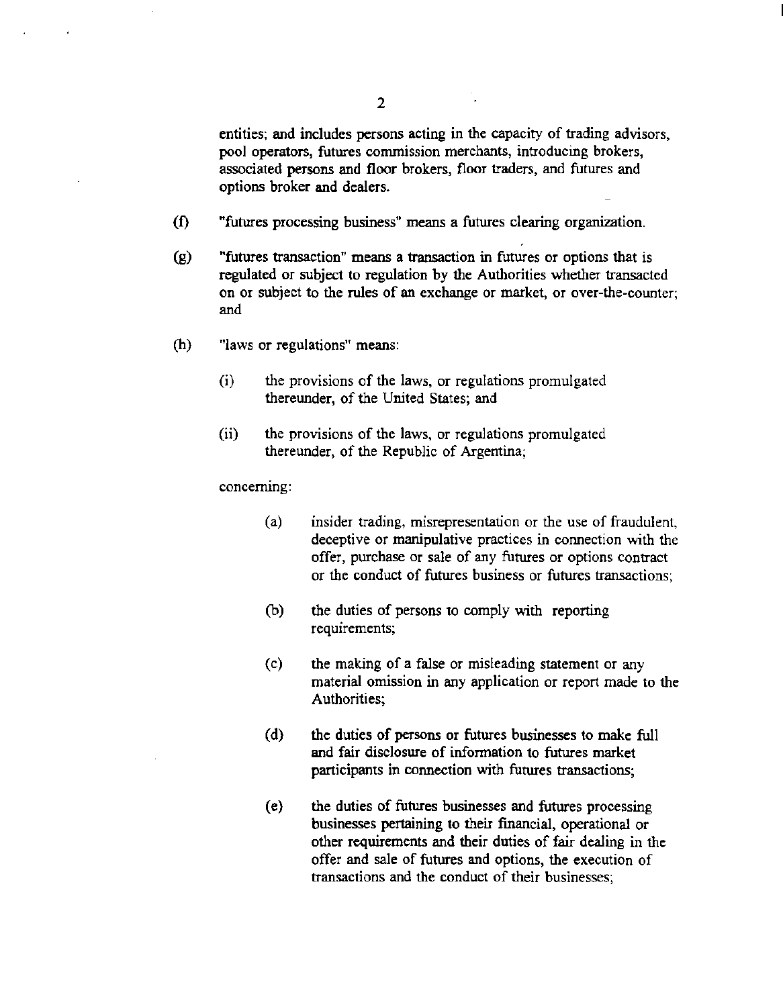entities; and includes persons acting in the capacity of trading advisors, pool operators, futures conunission merchants, introducing brokers, associated persons and floor brokers, floor traders, and futures and options broker and dealers.

- (f) "futures processing business" means a futures clearing organization.
- (g) "futures transaction" means a transaction in futures or options that is regulated or subject to regulation by the Authorities whether transacted on or subject to the rules of an exchange or market, or over-the-counter; and
- (h) ''laws or regulations" means:
	- (i) the provisions of the laws, or regulations promulgated thereunder, of the United States; and
	- (ii) the provisions of the laws, or regulations promulgated thereunder, of the Republic of Argentina;

concerning:

- (a) insider trading, misrepresentation or the use of fraudulent, deceptive or manipulative practices in connection with the offer, purchase or sale of any futures or options contract or the conduct of futures business or futures transactions;
- (b) the duties of persons to comply with reporting requirements;
- (c) the making of a false or misleading statement or any material omission in any application or report made to the Authorities;
- (d) the duties of persons or futures businesses to make full and fair disclosure of information to futures market participants in connection with futures transactions;
- (e) the duties of futures businesses and futures processing businesses pertaining to their fmancial, operational or other requirements and their duties of fair dealing in the offer and sale of futures and options, the execution of transactions and the conduct of their businesses;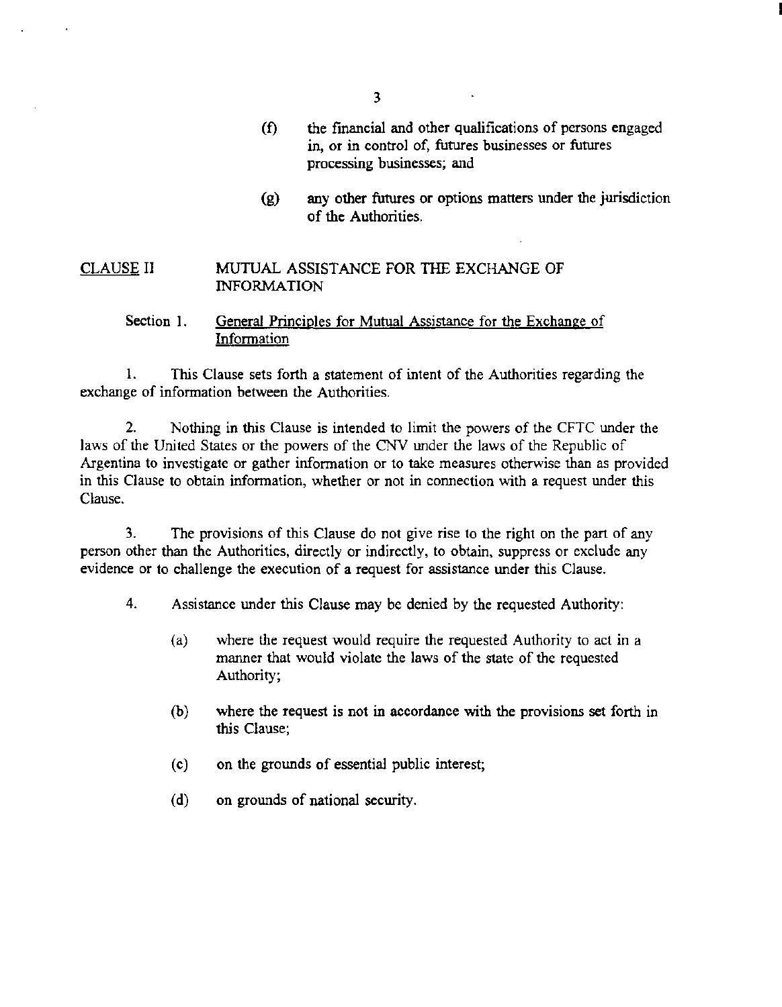3

- (f) the fmancial and other qualifications of persons engaged in, or in control of, futures businesses or futures processing businesses; and
- (g) any other futures or options matters under the jurisdiction of the Authorities.

#### CLAUSE II MUTUAL ASSISTANCE FOR THE EXCHANGE OF INFORMATION

# Section 1. General Principles for Mutual Assistance for the Exchange of Information

1. This Clause sets forth a statement of intent of the Authorities regarding the exchange of information between the Authorities.

2. Nothing in this Clause is intended to limit the powers of the CFTC under the laws of the United States or the powers of the CNV under the laws of the Republic of Argentina to investigate or gather information or to take measures otherwise than as provided in this Clause to obtain information, whether or not in connection with a request under this Clause.

3. The provisions of this Clause do not give rise to the right on the part of any person other than the Authorities, directly or indirectly, to obtain, suppress or exclude any evidence or to challenge the execution of a request for assistance under this Clause.

4. Assistance under this Clause may be denied by the requested Authority:

- (a) where the request would require the requested Authority to act in a manner that would violate the laws of the state of the requested Authority;
- (b) where the request is not in accordance with the provisions set forth in this Clause;
- (c) on the grounds of essential public interest;
- (d) on grounds of national security.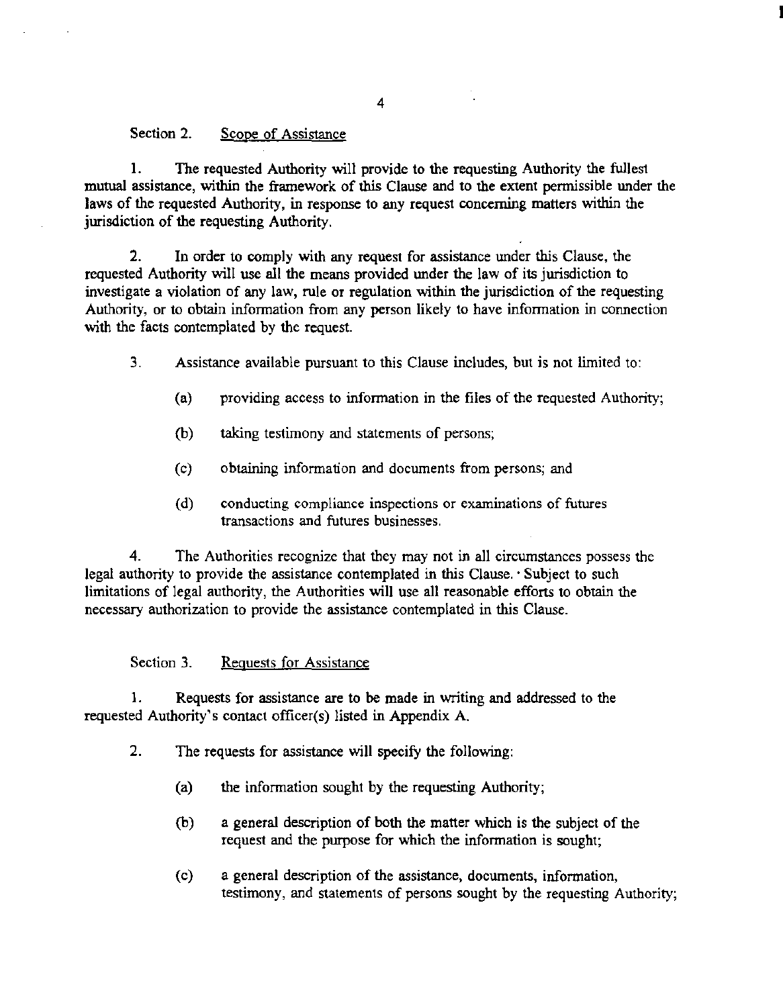#### Section 2. Scope of Assistance

I. The requested Authority will provide to the requesting Authority the fullest mutual assistance, within the framework of this Clause and to the extent permissible under the laws of the requested Authority, in response to any request concerning matters within the jurisdiction of the requesting Authority.

2. In order to comply with any request for assistance under this Clause, the requested Authority will use all the means provided under the law of its jurisdiction to investigate a violation of any law, rule or regulation within the jurisdiction of the requesting Authority, or to obtain information from any person likely to have information in connection with the facts contemplated by the request.

3. Assistance available pursuant to this Clause includes, but is not limited to:

- (a) providing access to information in the files of the requested Authority;
- (b) taking testimony and statements of persons;
- (c) obtaining information and documents from persons; and
- (d) conducting compliance inspections or examinations of futures transactions and futures businesses.

4. The Authorities recognize that they may not in all circumstances possess the legal authority to provide the assistance contemplated in this Clause. · Subject to such limitations of legal authority, the Authorities will use all reasonable efforts to obtain the necessary authorization to provide the assistance contemplated in this Clause.

## Section 3. Requests for Assistance

1. Requests for assistance are to be made in writing and addressed to the requested Authority's contact officer(s) listed in Appendix A.

- 2. The requests for assistance will specify the following:
	- (a) the information sought by the requesting Authority;
	- (b) a general description of both the matter which is the subject of the request and the purpose for which the information is sought;
	- (c) a general description of the assistance, documents, infonnation, testimony, and statements of persons sought by the requesting Authority;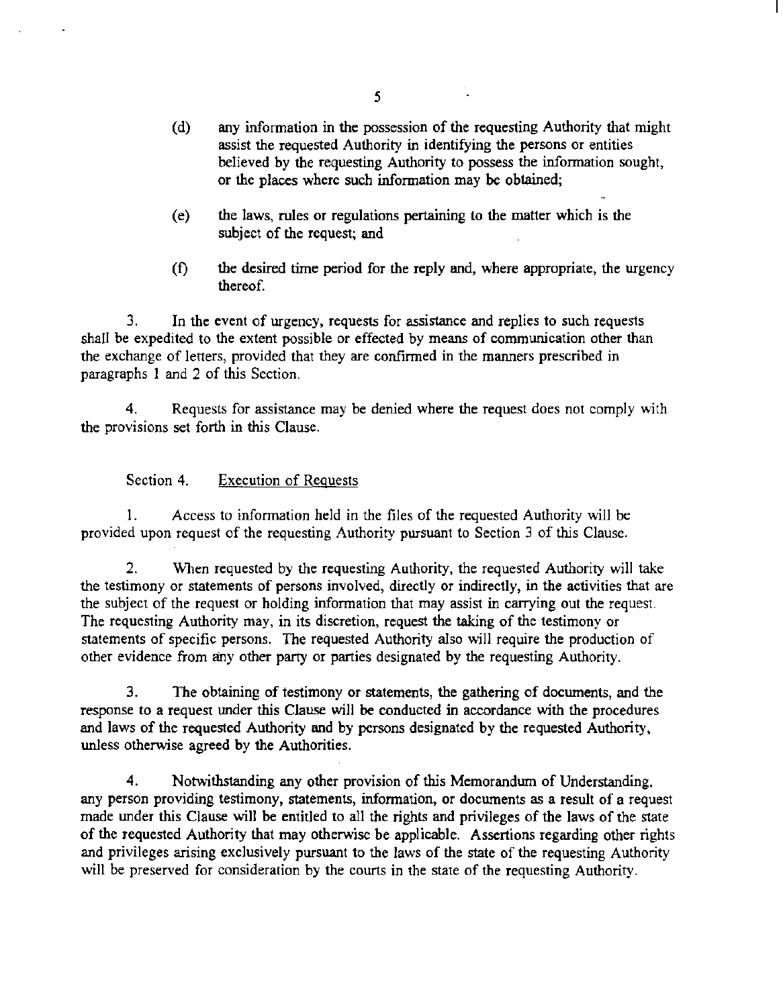- (d) any information in the possession of the requesting Authority that might assist the requested Authority in identifying the persons or entities believed by the requesting Authority to possess the information sought, or the places where such information may *be* obtained;
- (e) the laws, rules or regulations pertaining to the matter which is the subject of the request; and
- (f) the desired time period for the reply and, where appropriate, the urgency thereof.

3. In the event of urgency, requests for assistance and replies to such requests shall be expedited to the extent possible or effected by means of communication other than the exchange of letters, provided that they are confirmed in the manners prescribed in paragraphs I and 2 of this Section.

4. Requests for assistance may be denied where the request does not comply with the provisions set forth in this Clause.

# Section 4. Execution of Requests

1. Access to information held in the files of the requested Authority will be provided upon request of the requesting Authority pursuant *to* Section 3 of this Clause.

2. When requested by the requesting Authority, the requested Authority will take the testimony or statements of persons involved, directly or indirectly, in the activities that are the subject of the request or holding information that may assist in carrying out the request. The requesting Authority may, in its discretion, request the taking of the testimony or statements of specific persons. The requested Authority also will require the production of other evidence from any other party or parties designated by the requesting Authority.

3. The obtaining of testimony or statements, the gathering of docwnents, and the response to a request under this Clause will be conducted in accordance with the procedures and laws of the requested Authority and by persons designated by the requested Authority, unless otherwise agreed by the Authorities.

4. Notwithstanding any other provision of this Memorandum of Understanding, any person providing testimony, statements, information, or docwnents as a result of a request made under this Clause will be entitled to all the rights and privileges of the laws of the state of the requested Authority that may otherwise be applicable. Assertions regarding other rights and privileges arising exclusively pursuant to the laws of the state of the requesting Authority will be preserved for consideration by the courts in the state of the requesting Authority.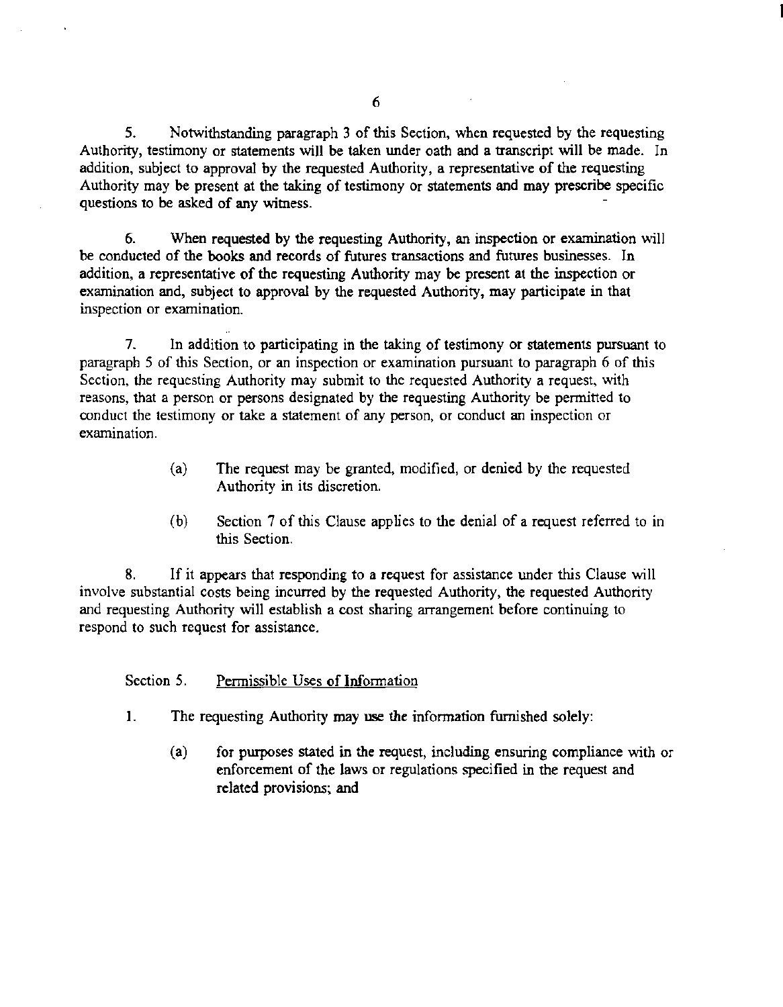5. Notwithstanding paragraph 3 of this Section, when requested by the requesting Authority, testimony or statements will be taken under oath and a transcript will be made. In addition, subject to approval by the requested Authority, a representative of the requesting Authority may be present at the taking of testimony or statements and may prescribe specific questions to be asked of any witness.

6. When requested by the requesting Authority, an inspection or examination will be conducted of the books and records of futures transactions and futures businesses. In addition, a representative of the requesting Authority may be present at the inspection or examination and, subject to approval by the requested Authority, may participate in that inspection or examination.

7. In addition to participating in the taking of testimony or statements pursuant to paragraph 5 of this Section, or an inspection or examination pursuant to paragraph 6 of this Section, the requesting Authority may submit to the requested Authority a request, with reasons, that a person or persons designated by the requesting Authority be permitted to conduct the testimony or take a statement of any person, or conduct an inspection or examination.

- (a) The request may be granted, modified, or denied by the requested Authority in its discretion.
- (b) Section 7 of this Clause applies to the denial of a request referred to in this Section.

8. If it appears that responding to a request for assistance under this Clause will involve substantial costs being incurred by the requested Authority, the requested Authority and requesting Authority will establish a cost sharing arrangement before continuing to respond to such request for assistance.

## Section 5. Permissible Uses of Information

- I. The requesting Authority may use the information furnished solely:
	- (a) for purposes stated in the request, including ensuring compliance with or enforcement of the laws or regulations specified in the request and related provisions; and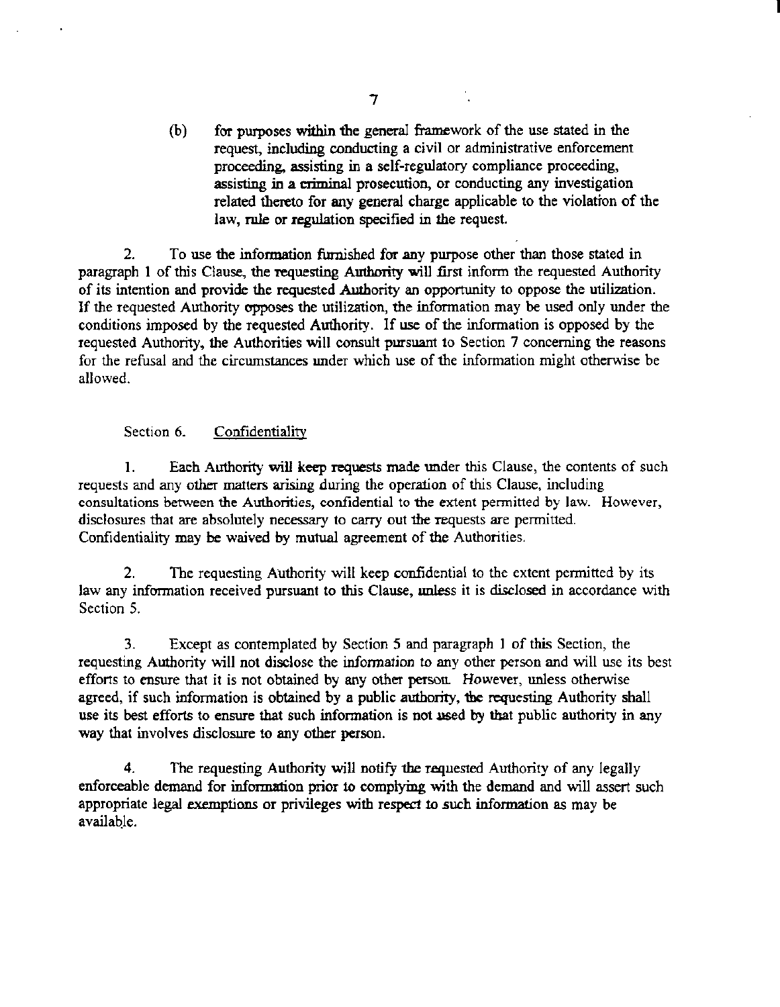(b) for purposes within the general framework of the use stated in the request, including conducting a civil or administrative enforcement proceeding, assisting in a self-regulatory compliance proceeding, assisting in a criminal prosecution, or conducting any investigation related thereto for any general charge applicable to the violation of the law, rule or regulation specified in the request.

I

2. To use the information furnished for any purpose other than those stated in paragraph 1 of this Clause, the requesting Authority will first inform the requested Authority of its intention and provide the requested Authority an opportunity to oppose the utilization. If the requested Authority opposes the utilization, the infonnation may be used only under the conditions imposed by the requested Authority. If use of the information is opposed by the requested Authority, the Authorities will consult pursuant to Section 7 concerning the reasons for the refusal and the circwnstances under which use of the infonnation might otherwise be allowed.

# Section 6. Confidentiality

1. Each Authority will keep requests made under this Clause, the contents of such requests and any other matters arising during the operation of this Clause, including consultations between the Authorities, confidential to the extent permitted by law. However, disclosures that are absolutely necessary to carry out the requests are permitted. Confidentiality may be waived by mutual agreement of the Authorities.

2. The requesting Authority will keep confidential to the extent permitted by its law any information received pursuant to this Clause, unless it is disclosed in accordance with Section 5.

3. Except as contemplated by Section *5* and paragraph 1 of this Section, the requesting Authority will not disclose the infonnation to any other person and will use its best efforts to ensure that it is not obtained by any other person. However, unless otherwise agreed, if such information is obtained by a public authority, the requesting Authority shall use its best efforts to ensure that such information is not used by that public authority in any way that involves disclosure to any other person.

4. The requesting Authority will notify the requested Authority of any legally enforceable demand for infcmnation prior to complying with the demand and will assert such appropriate legal exemptions or privileges with respect to such information as may be available.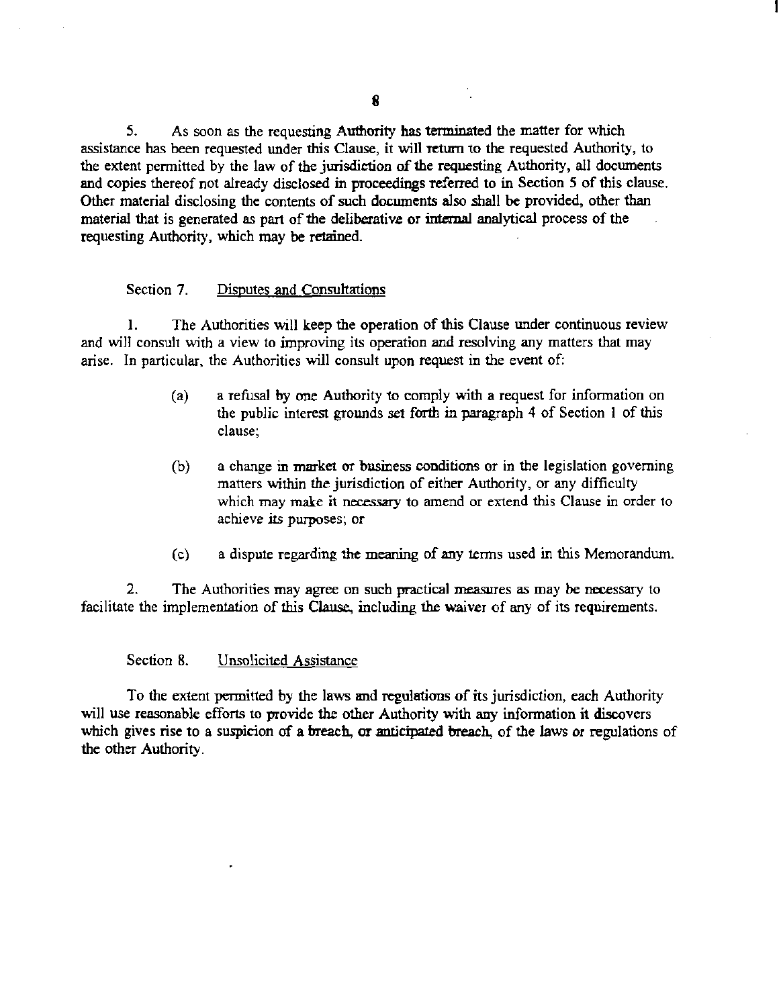5. As soon as the requesting Authority has terminated the matter for which assistance has been requested under this Clause, it will return to the requested Authority, to the extent permitted by the law of the jurisdiction of the requesting Authority, all documents and copies thereof not already disclosed in proceedings referred to in Section 5 of this clause. Other material disclosing the contents of such docwnents also shall be provided, other than material that is generated as part of the deliberative or internal analytical process of the requesting Authority, which may be retained.

## Section 7. Disputes and Consultations

I. The Authorities will keep the operation of this Clause under continuous review and will consult with a view to improving its operation and resolving any matters that may arise. In particular, the Authorities will consult upon request in the event of:

- (a) a refusal by one Authority to comply with a request for information on the public interest grounds set forth in paragraph 4 of Section I of this clause;
- (b) a change in market or business conditions or in the legislation governing matters within the jurisdiction of either Authority, or any difficulty which may make it necessary to amend or extend this Clause in order to achieve its purposes; or
- (c) a dispute regarding the meaning of any terms used in this Memorandum.

2. The Authorities may agree on such practical measures as may be necessary to facilitate the implementation of this Clause, including the waiver of any of its requirements.

## Section 8. Unsolicited Assistance

To the extent permitted by the laws and regulations of its jurisdiction, each Authority will use reasonable efforts to provide the other Authority with any information it discovers which gives rise to a suspicion of a breach, or anticipated breach, of the laws or regulations of the other Authority.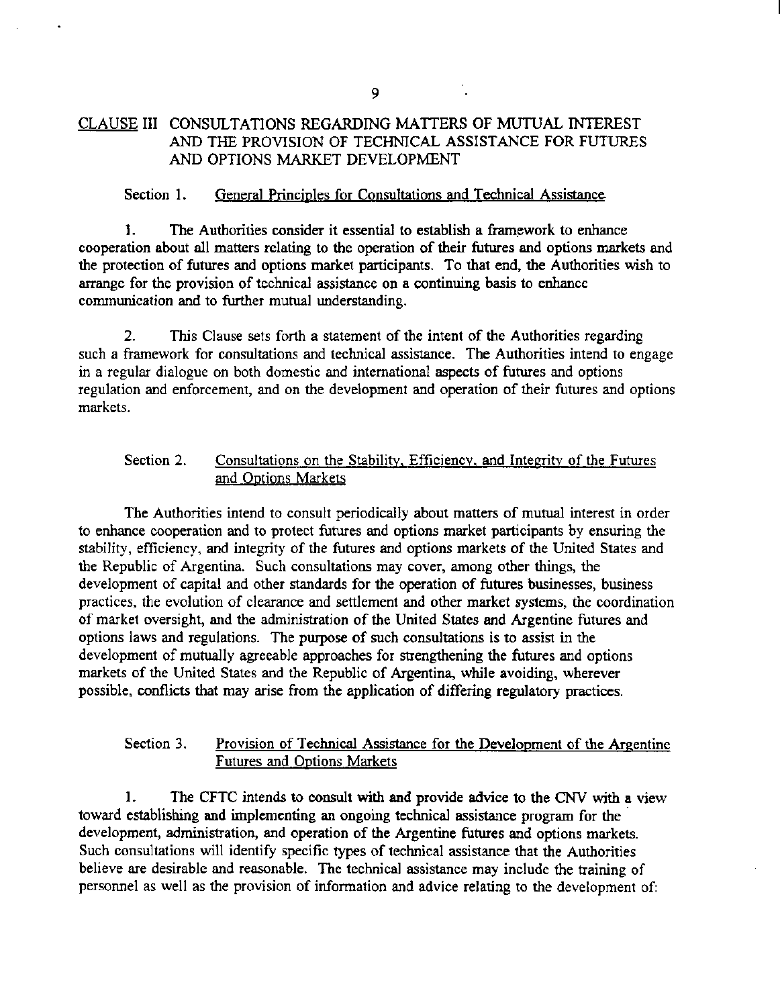# CLAUSE III CONSULTATIONS REGARDING MATTERS OF MUTUAL INTEREST AND THE PROVISION OF TECHNICAL ASSISTANCE FOR FUTURES AND OPTIONS MARKET DEVELOPMENT

## Section 1. General Principles for Consultations and Technical Assistance

1. The Authorities consider it essential to establish a framework to enhance cooperation about all matters relating to the operation of their futures and options markets and the protection of futures and options market participants. To that end, the Authorities wish to arrange for the provision of technical assistance on a continuing basis to enhance communication and to further mutual understanding.

2. This Clause sets forth a statement of the intent of the Authorities regarding such a framework for consultations and technical assistance. The Authorities intend to engage in a regular dialogue on both domestic and international aspects of futures and options regulation and enforcement, and on the development and operation of their futures and options markets.

# Section 2. Consultations on the Stability, Efficiency, and Integrity of the Futures and Options Markets

The Authorities intend to consult periodically about matters of mutual interest in order to enhance cooperation and to protect futures and options market participants by ensuring the stability, efficiency, and integrity of the futures and options markets of the United States and the Republic of Argentina. Such consultations may cover, among other things, the development of capital and other standards for the operation of futures businesses, business practices, the evolution of clearance and settlement and other market systems, the coordination of market oversight, and the administration of the United States and Argentine futures and options laws and regulations. The purpose of such consultations is to assist in the development of mutually agreeable approaches for strengthening the futures and options markets of the United States and the Republic of Argentina, while avoiding, wherever possible, conflicts that may arise from the application of differing regulatory practices.

## Section 3. Provision of Technical Assistance for the Development of the Argentine Futures and Options Markets

I. The CFTC intends to consult with and provide advice to the CNV with a view toward establishing and implementing an ongoing technical assistance program for the development, administration, and operation of the Argentine futures and options markets. Such consultations will identify specific types of technical assistance that the Authorities believe are desirable and reasonable. The technical assistance may include the training of personnel as well as the provision of infonnation and advice relating to the development of: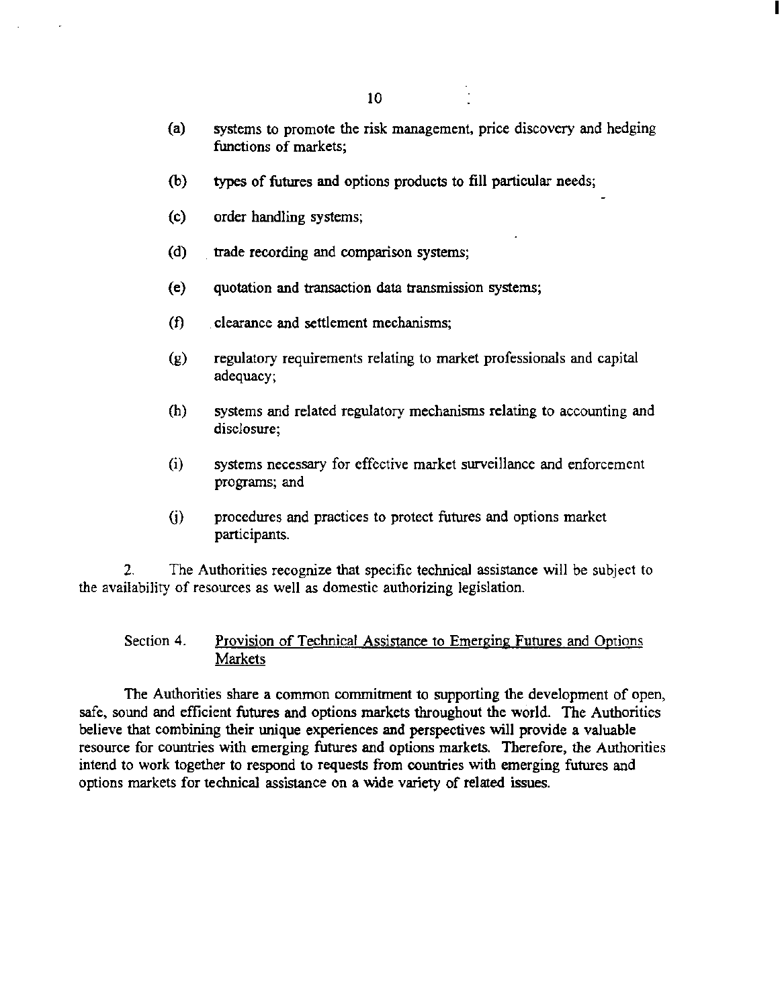(a) systems to promote the risk management, price discovery and hedging functions of markets;

I

- (b) types of futures and options products to fill particular needs;
- (c) order handling systems;
- (d) trade recording and comparison systems;
- (e) quotation and transaction data transmission systems;
- (f) clearance and settlement mechanisms;
- (g) regulatory requirements relating to market professionals and capital adequacy;
- (h) systems and related regulatory mechanisms relating to accounting and disclosure;
- (i) systems necessary for effective market surveillance and enforcement programs; and
- G) procedures and practices to protect futures and options market participants.

2. The Authorities recognize that specific technical assistance will be subject to the availability of resources as well as domestic authorizing legislation.

# Section 4. Provision of Technical Assistance to Emerging Futures and Options **Markets**

The Authorities share a common commitment to supporting the development of open, safe, sound and efficient futures and options markets throughout the world. The Authorities believe that combining their unique experiences and perspectives will provide a valuable resource for countries with emerging futures and options markets. Therefore, the Authorities intend to work together to respond to requests from countries with emerging futures and options markets for technical assistance on a wide variety of related issues.